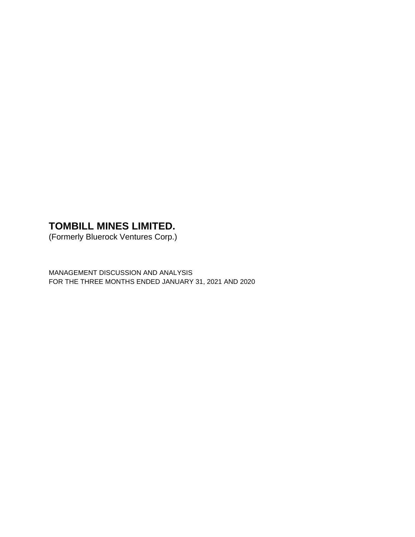(Formerly Bluerock Ventures Corp.)

MANAGEMENT DISCUSSION AND ANALYSIS FOR THE THREE MONTHS ENDED JANUARY 31, 2021 AND 2020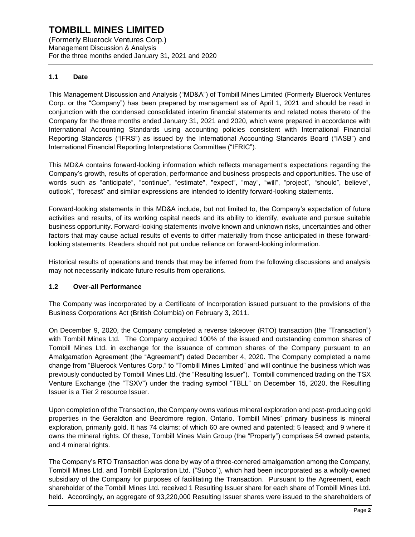(Formerly Bluerock Ventures Corp.) Management Discussion & Analysis For the three months ended January 31, 2021 and 2020

## **1.1 Date**

This Management Discussion and Analysis ("MD&A") of Tombill Mines Limited (Formerly Bluerock Ventures Corp. or the "Company") has been prepared by management as of April 1, 2021 and should be read in conjunction with the condensed consolidated interim financial statements and related notes thereto of the Company for the three months ended January 31, 2021 and 2020, which were prepared in accordance with International Accounting Standards using accounting policies consistent with International Financial Reporting Standards ("IFRS") as issued by the International Accounting Standards Board ("IASB") and International Financial Reporting Interpretations Committee ("IFRIC").

This MD&A contains forward-looking information which reflects management's expectations regarding the Company's growth, results of operation, performance and business prospects and opportunities. The use of words such as "anticipate", "continue", "estimate", "expect", "may", "will", "project", "should", believe", outlook", "forecast" and similar expressions are intended to identify forward-looking statements.

Forward-looking statements in this MD&A include, but not limited to, the Company's expectation of future activities and results, of its working capital needs and its ability to identify, evaluate and pursue suitable business opportunity. Forward-looking statements involve known and unknown risks, uncertainties and other factors that may cause actual results of events to differ materially from those anticipated in these forwardlooking statements. Readers should not put undue reliance on forward-looking information.

Historical results of operations and trends that may be inferred from the following discussions and analysis may not necessarily indicate future results from operations.

## **1.2 Over-all Performance**

The Company was incorporated by a Certificate of Incorporation issued pursuant to the provisions of the Business Corporations Act (British Columbia) on February 3, 2011.

On December 9, 2020, the Company completed a reverse takeover (RTO) transaction (the "Transaction") with Tombill Mines Ltd. The Company acquired 100% of the issued and outstanding common shares of Tombill Mines Ltd. in exchange for the issuance of common shares of the Company pursuant to an Amalgamation Agreement (the "Agreement") dated December 4, 2020. The Company completed a name change from "Bluerock Ventures Corp." to "Tombill Mines Limited" and will continue the business which was previously conducted by Tombill Mines Ltd. (the "Resulting Issuer"). Tombill commenced trading on the TSX Venture Exchange (the "TSXV") under the trading symbol "TBLL" on December 15, 2020, the Resulting Issuer is a Tier 2 resource Issuer.

Upon completion of the Transaction, the Company owns various mineral exploration and past-producing gold properties in the Geraldton and Beardmore region, Ontario. Tombill Mines' primary business is mineral exploration, primarily gold. It has 74 claims; of which 60 are owned and patented; 5 leased; and 9 where it owns the mineral rights. Of these, Tombill Mines Main Group (the "Property") comprises 54 owned patents, and 4 mineral rights.

The Company's RTO Transaction was done by way of a three-cornered amalgamation among the Company, Tombill Mines Ltd, and Tombill Exploration Ltd. ("Subco"), which had been incorporated as a wholly-owned subsidiary of the Company for purposes of facilitating the Transaction. Pursuant to the Agreement, each shareholder of the Tombill Mines Ltd. received 1 Resulting Issuer share for each share of Tombill Mines Ltd. held. Accordingly, an aggregate of 93,220,000 Resulting Issuer shares were issued to the shareholders of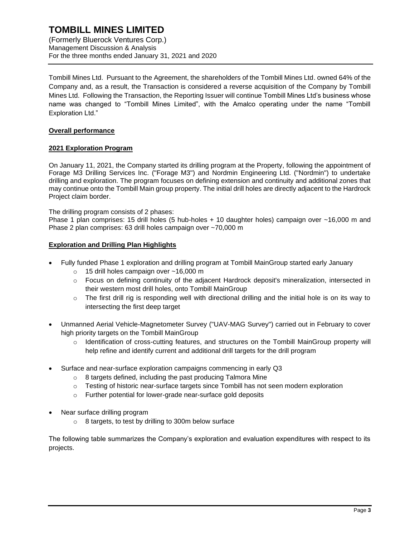(Formerly Bluerock Ventures Corp.) Management Discussion & Analysis For the three months ended January 31, 2021 and 2020

Tombill Mines Ltd. Pursuant to the Agreement, the shareholders of the Tombill Mines Ltd. owned 64% of the Company and, as a result, the Transaction is considered a reverse acquisition of the Company by Tombill Mines Ltd. Following the Transaction, the Reporting Issuer will continue Tombill Mines Ltd's business whose name was changed to "Tombill Mines Limited", with the Amalco operating under the name "Tombill Exploration Ltd."

### **Overall performance**

## **2021 Exploration Program**

On January 11, 2021, the Company started its drilling program at the Property, following the appointment of Forage M3 Drilling Services Inc. ("Forage M3") and Nordmin Engineering Ltd. ("Nordmin") to undertake drilling and exploration. The program focuses on defining extension and continuity and additional zones that may continue onto the Tombill Main group property. The initial drill holes are directly adjacent to the Hardrock Project claim border.

The drilling program consists of 2 phases:

Phase 1 plan comprises: 15 drill holes (5 hub-holes + 10 daughter holes) campaign over ~16,000 m and Phase 2 plan comprises: 63 drill holes campaign over ~70,000 m

#### **Exploration and Drilling Plan Highlights**

- Fully funded Phase 1 exploration and drilling program at Tombill MainGroup started early January
	- o 15 drill holes campaign over ~16,000 m
	- o Focus on defining continuity of the adjacent Hardrock deposit's mineralization, intersected in their western most drill holes, onto Tombill MainGroup
	- o The first drill rig is responding well with directional drilling and the initial hole is on its way to intersecting the first deep target
- Unmanned Aerial Vehicle-Magnetometer Survey ("UAV-MAG Survey") carried out in February to cover high priority targets on the Tombill MainGroup
	- $\circ$  Identification of cross-cutting features, and structures on the Tombill MainGroup property will help refine and identify current and additional drill targets for the drill program
- Surface and near-surface exploration campaigns commencing in early Q3
	- o 8 targets defined, including the past producing Talmora Mine
	- o Testing of historic near-surface targets since Tombill has not seen modern exploration
	- o Further potential for lower-grade near-surface gold deposits
- Near surface drilling program
	- o 8 targets, to test by drilling to 300m below surface

The following table summarizes the Company's exploration and evaluation expenditures with respect to its projects.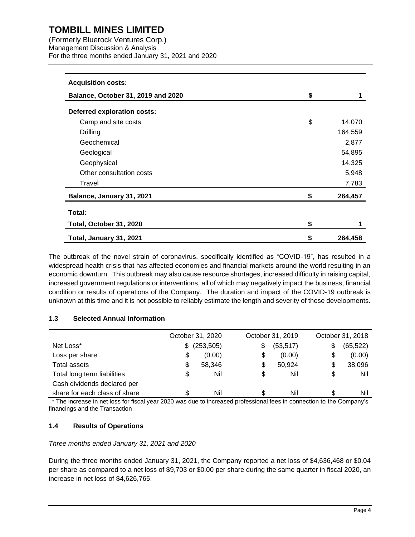(Formerly Bluerock Ventures Corp.) Management Discussion & Analysis For the three months ended January 31, 2021 and 2020

| <b>Acquisition costs:</b>          |               |
|------------------------------------|---------------|
| Balance, October 31, 2019 and 2020 | \$            |
| <b>Deferred exploration costs:</b> |               |
| Camp and site costs                | \$<br>14,070  |
| Drilling                           | 164,559       |
| Geochemical                        | 2,877         |
| Geological                         | 54,895        |
| Geophysical                        | 14,325        |
| Other consultation costs           | 5,948         |
| Travel                             | 7,783         |
| Balance, January 31, 2021          | \$<br>264,457 |
| Total:                             |               |
| Total, October 31, 2020            | \$            |
| Total, January 31, 2021            | \$<br>264,458 |

The outbreak of the novel strain of coronavirus, specifically identified as "COVID-19", has resulted in a widespread health crisis that has affected economies and financial markets around the world resulting in an economic downturn. This outbreak may also cause resource shortages, increased difficulty in raising capital, increased government regulations or interventions, all of which may negatively impact the business, financial condition or results of operations of the Company. The duration and impact of the COVID-19 outbreak is unknown at this time and it is not possible to reliably estimate the length and severity of these developments.

## **1.3 Selected Annual Information**

|                               |     | October 31, 2020 | October 31, 2019 |    | October 31, 2018 |
|-------------------------------|-----|------------------|------------------|----|------------------|
| Net Loss*                     | \$. | (253, 505)       | \$<br>(53, 517)  | \$ | (65, 522)        |
| Loss per share                | \$  | (0.00)           | \$<br>(0.00)     | \$ | (0.00)           |
| Total assets                  | \$  | 58,346           | \$<br>50,924     | \$ | 38,096           |
| Total long term liabilities   | \$  | Nil              | \$<br>Nil        | \$ | Nil              |
| Cash dividends declared per   |     |                  |                  |    |                  |
| share for each class of share | \$. | Nil              | Nil              | S. | Nil              |

\* The increase in net loss for fiscal year 2020 was due to increased professional fees in connection to the Company's financings and the Transaction

## **1.4 Results of Operations**

*Three months ended January 31, 2021 and 2020*

During the three months ended January 31, 2021, the Company reported a net loss of \$4,636,468 or \$0.04 per share as compared to a net loss of \$9,703 or \$0.00 per share during the same quarter in fiscal 2020, an increase in net loss of \$4,626,765.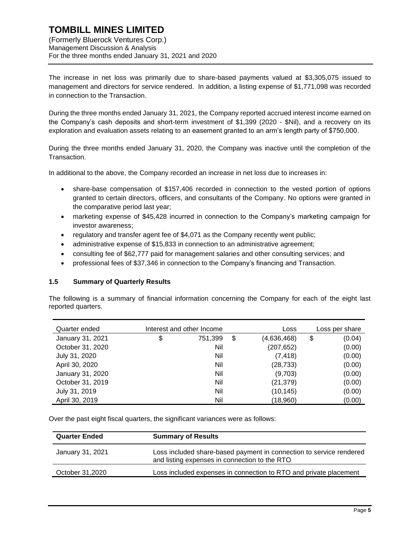The increase in net loss was primarily due to share-based payments valued at \$3,305,075 issued to management and directors for service rendered. In addition, a listing expense of \$1,771,098 was recorded in connection to the Transaction.

During the three months ended January 31, 2021, the Company reported accrued interest income earned on the Company's cash deposits and short-term investment of \$1,399 (2020 - \$Nil), and a recovery on its exploration and evaluation assets relating to an easement granted to an arm's length party of \$750,000.

During the three months ended January 31, 2020, the Company was inactive until the completion of the Transaction.

In additional to the above, the Company recorded an increase in net loss due to increases in:

- share-base compensation of \$157,406 recorded in connection to the vested portion of options granted to certain directors, officers, and consultants of the Company. No options were granted in the comparative period last year;
- marketing expense of \$45,428 incurred in connection to the Company's marketing campaign for investor awareness;
- regulatory and transfer agent fee of \$4,071 as the Company recently went public;
- administrative expense of \$15,833 in connection to an administrative agreement;
- consulting fee of \$62,777 paid for management salaries and other consulting services; and
- professional fees of \$37,346 in connection to the Company's financing and Transaction.

#### **1.5 Summary of Quarterly Results**

The following is a summary of financial information concerning the Company for each of the eight last reported quarters.

| Quarter ended    | Interest and other Income |         | Loss              | Loss per share |
|------------------|---------------------------|---------|-------------------|----------------|
| January 31, 2021 | \$                        | 751,399 | \$<br>(4,636,468) | \$<br>(0.04)   |
| October 31, 2020 |                           | Nil     | (207, 652)        | (0.00)         |
| July 31, 2020    |                           | Nil     | (7, 418)          | (0.00)         |
| April 30, 2020   |                           | Nil     | (28, 733)         | (0.00)         |
| January 31, 2020 |                           | Nil     | (9,703)           | (0.00)         |
| October 31, 2019 |                           | Nil     | (21, 379)         | (0.00)         |
| July 31, 2019    |                           | Nil     | (10, 145)         | (0.00)         |
| April 30, 2019   |                           | Nil     | (18,960)          | (0.00)         |

Over the past eight fiscal quarters, the significant variances were as follows:

| <b>Quarter Ended</b> | <b>Summary of Results</b>                                                                                            |
|----------------------|----------------------------------------------------------------------------------------------------------------------|
| January 31, 2021     | Loss included share-based payment in connection to service rendered<br>and listing expenses in connection to the RTO |
| October 31,2020      | Loss included expenses in connection to RTO and private placement                                                    |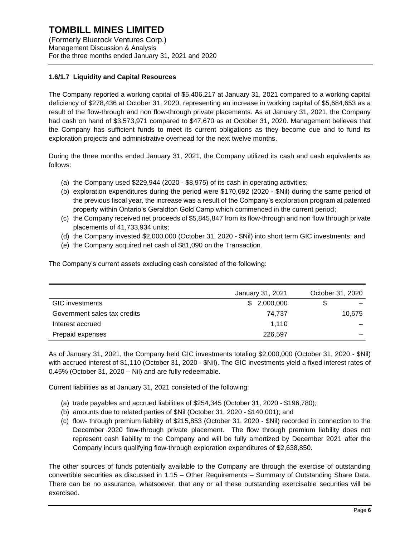## **1.6/1.7 Liquidity and Capital Resources**

The Company reported a working capital of \$5,406,217 at January 31, 2021 compared to a working capital deficiency of \$278,436 at October 31, 2020, representing an increase in working capital of \$5,684,653 as a result of the flow-through and non flow-through private placements. As at January 31, 2021, the Company had cash on hand of \$3,573,971 compared to \$47,670 as at October 31, 2020. Management believes that the Company has sufficient funds to meet its current obligations as they become due and to fund its exploration projects and administrative overhead for the next twelve months.

During the three months ended January 31, 2021, the Company utilized its cash and cash equivalents as follows:

- (a) the Company used  $$229,944$  (2020  $$8,975$ ) of its cash in operating activities;
- (b) exploration expenditures during the period were \$170,692 (2020 \$Nil) during the same period of the previous fiscal year, the increase was a result of the Company's exploration program at patented property within Ontario's Geraldton Gold Camp which commenced in the current period;
- (c) the Company received net proceeds of \$5,845,847 from its flow-through and non flow through private placements of 41,733,934 units;
- (d) the Company invested \$2,000,000 (October 31, 2020 \$Nil) into short term GIC investments; and
- (e) the Company acquired net cash of \$81,090 on the Transaction.

The Company's current assets excluding cash consisted of the following:

|                              | January 31, 2021 | October 31, 2020 |
|------------------------------|------------------|------------------|
| <b>GIC</b> investments       | \$2,000,000      |                  |
| Government sales tax credits | 74.737           | 10.675           |
| Interest accrued             | 1.110            |                  |
| Prepaid expenses             | 226,597          |                  |

As of January 31, 2021, the Company held GIC investments totaling \$2,000,000 (October 31, 2020 - \$Nil) with accrued interest of \$1,110 (October 31, 2020 - \$Nil). The GIC investments yield a fixed interest rates of 0.45% (October 31, 2020 – Nil) and are fully redeemable.

Current liabilities as at January 31, 2021 consisted of the following:

- (a) trade payables and accrued liabilities of \$254,345 (October 31, 2020 \$196,780);
- (b) amounts due to related parties of \$Nil (October 31, 2020 \$140,001); and
- (c) flow- through premium liability of \$215,853 (October 31, 2020 \$Nil) recorded in connection to the December 2020 flow-through private placement. The flow through premium liability does not represent cash liability to the Company and will be fully amortized by December 2021 after the Company incurs qualifying flow-through exploration expenditures of \$2,638,850.

The other sources of funds potentially available to the Company are through the exercise of outstanding convertible securities as discussed in 1.15 – Other Requirements – Summary of Outstanding Share Data. There can be no assurance, whatsoever, that any or all these outstanding exercisable securities will be exercised.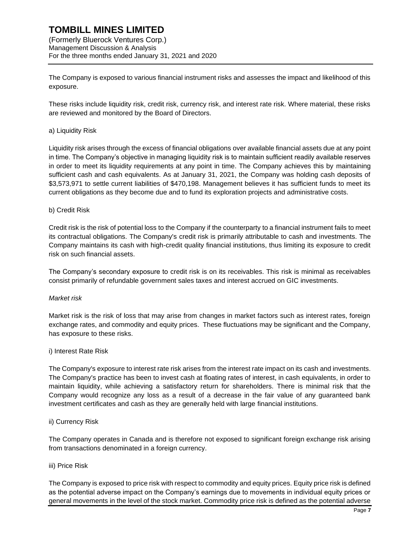## **TOMBILL MINES LIMITED** (Formerly Bluerock Ventures Corp.)

Management Discussion & Analysis For the three months ended January 31, 2021 and 2020

The Company is exposed to various financial instrument risks and assesses the impact and likelihood of this exposure.

These risks include liquidity risk, credit risk, currency risk, and interest rate risk. Where material, these risks are reviewed and monitored by the Board of Directors.

## a) Liquidity Risk

Liquidity risk arises through the excess of financial obligations over available financial assets due at any point in time. The Company's objective in managing liquidity risk is to maintain sufficient readily available reserves in order to meet its liquidity requirements at any point in time. The Company achieves this by maintaining sufficient cash and cash equivalents. As at January 31, 2021, the Company was holding cash deposits of \$3,573,971 to settle current liabilities of \$470,198. Management believes it has sufficient funds to meet its current obligations as they become due and to fund its exploration projects and administrative costs.

#### b) Credit Risk

Credit risk is the risk of potential loss to the Company if the counterparty to a financial instrument fails to meet its contractual obligations. The Company's credit risk is primarily attributable to cash and investments. The Company maintains its cash with high-credit quality financial institutions, thus limiting its exposure to credit risk on such financial assets.

The Company's secondary exposure to credit risk is on its receivables. This risk is minimal as receivables consist primarily of refundable government sales taxes and interest accrued on GIC investments.

#### *Market risk*

Market risk is the risk of loss that may arise from changes in market factors such as interest rates, foreign exchange rates, and commodity and equity prices. These fluctuations may be significant and the Company, has exposure to these risks.

#### i) Interest Rate Risk

The Company's exposure to interest rate risk arises from the interest rate impact on its cash and investments. The Company's practice has been to invest cash at floating rates of interest, in cash equivalents, in order to maintain liquidity, while achieving a satisfactory return for shareholders. There is minimal risk that the Company would recognize any loss as a result of a decrease in the fair value of any guaranteed bank investment certificates and cash as they are generally held with large financial institutions.

## ii) Currency Risk

The Company operates in Canada and is therefore not exposed to significant foreign exchange risk arising from transactions denominated in a foreign currency.

#### iii) Price Risk

The Company is exposed to price risk with respect to commodity and equity prices. Equity price risk is defined as the potential adverse impact on the Company's earnings due to movements in individual equity prices or general movements in the level of the stock market. Commodity price risk is defined as the potential adverse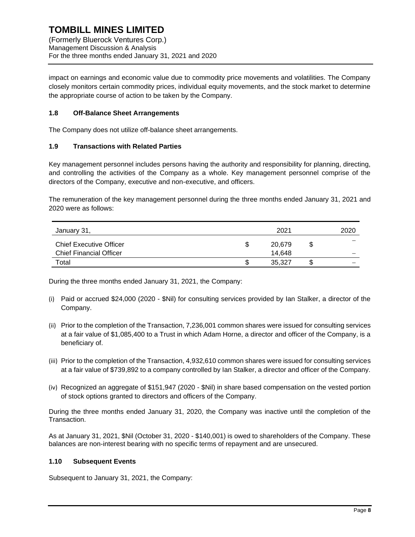impact on earnings and economic value due to commodity price movements and volatilities. The Company closely monitors certain commodity prices, individual equity movements, and the stock market to determine the appropriate course of action to be taken by the Company.

#### **1.8 Off-Balance Sheet Arrangements**

The Company does not utilize off-balance sheet arrangements.

#### **1.9 Transactions with Related Parties**

Key management personnel includes persons having the authority and responsibility for planning, directing, and controlling the activities of the Company as a whole. Key management personnel comprise of the directors of the Company, executive and non-executive, and officers.

The remuneration of the key management personnel during the three months ended January 31, 2021 and 2020 were as follows:

| January 31,                    |   | 2021   |   | 2020 |
|--------------------------------|---|--------|---|------|
| <b>Chief Executive Officer</b> | S | 20,679 | S |      |
| <b>Chief Financial Officer</b> |   | 14.648 |   |      |
| Total                          |   | 35.327 |   |      |

During the three months ended January 31, 2021, the Company:

- (i) Paid or accrued \$24,000 (2020 \$Nil) for consulting services provided by Ian Stalker, a director of the Company.
- (ii) Prior to the completion of the Transaction, 7,236,001 common shares were issued for consulting services at a fair value of \$1,085,400 to a Trust in which Adam Horne, a director and officer of the Company, is a beneficiary of.
- (iii) Prior to the completion of the Transaction, 4,932,610 common shares were issued for consulting services at a fair value of \$739,892 to a company controlled by Ian Stalker, a director and officer of the Company.
- (iv) Recognized an aggregate of \$151,947 (2020 \$Nil) in share based compensation on the vested portion of stock options granted to directors and officers of the Company.

During the three months ended January 31, 2020, the Company was inactive until the completion of the Transaction.

As at January 31, 2021, \$Nil (October 31, 2020 - \$140,001) is owed to shareholders of the Company. These balances are non-interest bearing with no specific terms of repayment and are unsecured.

## **1.10 Subsequent Events**

Subsequent to January 31, 2021, the Company: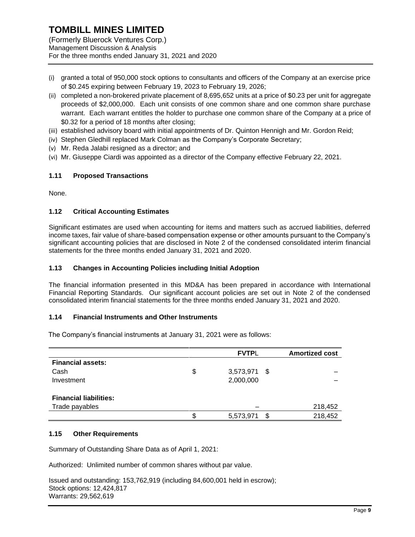(Formerly Bluerock Ventures Corp.) Management Discussion & Analysis For the three months ended January 31, 2021 and 2020

- (i) granted a total of 950,000 stock options to consultants and officers of the Company at an exercise price of \$0.245 expiring between February 19, 2023 to February 19, 2026;
- (ii) completed a non-brokered private placement of 8,695,652 units at a price of \$0.23 per unit for aggregate proceeds of \$2,000,000. Each unit consists of one common share and one common share purchase warrant. Each warrant entitles the holder to purchase one common share of the Company at a price of \$0.32 for a period of 18 months after closing;
- (iii) established advisory board with initial appointments of Dr. Quinton Hennigh and Mr. Gordon Reid;
- (iv) Stephen Gledhill replaced Mark Colman as the Company's Corporate Secretary;
- (v) Mr. Reda Jalabi resigned as a director; and
- (vi) Mr. Giuseppe Ciardi was appointed as a director of the Company effective February 22, 2021.

#### **1.11 Proposed Transactions**

None.

#### **1.12 Critical Accounting Estimates**

Significant estimates are used when accounting for items and matters such as accrued liabilities, deferred income taxes, fair value of share-based compensation expense or other amounts pursuant to the Company's significant accounting policies that are disclosed in Note 2 of the condensed consolidated interim financial statements for the three months ended January 31, 2021 and 2020.

#### **1.13 Changes in Accounting Policies including Initial Adoption**

The financial information presented in this MD&A has been prepared in accordance with International Financial Reporting Standards. Our significant account policies are set out in Note 2 of the condensed consolidated interim financial statements for the three months ended January 31, 2021 and 2020.

#### **1.14 Financial Instruments and Other Instruments**

The Company's financial instruments at January 31, 2021 were as follows:

|                               | <b>FVTPL</b>       |    |         |
|-------------------------------|--------------------|----|---------|
| <b>Financial assets:</b>      |                    |    |         |
| Cash                          | \$<br>3,573,971 \$ |    |         |
| Investment                    | 2,000,000          |    |         |
| <b>Financial liabilities:</b> |                    |    |         |
| Trade payables                |                    |    | 218,452 |
|                               | 5,573,971          | ß. | 218,452 |

#### **1.15 Other Requirements**

Summary of Outstanding Share Data as of April 1, 2021:

Authorized: Unlimited number of common shares without par value.

Issued and outstanding: 153,762,919 (including 84,600,001 held in escrow); Stock options: 12,424,817 Warrants: 29,562,619